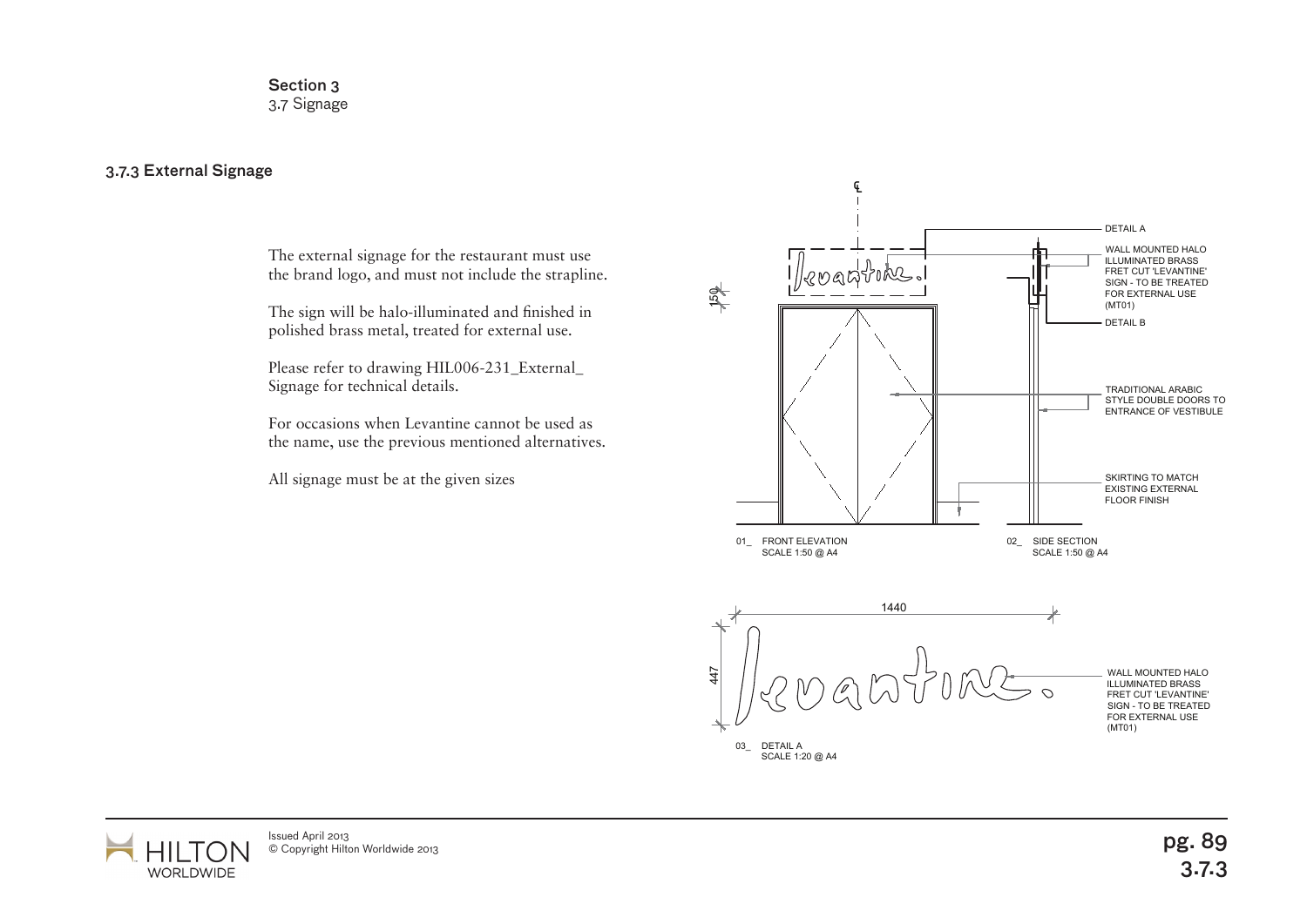Section 3 3.7 Signage

## 3.7.3 External Signage

The external signage for the restaurant must use the brand logo, and must not include the strapline.

The sign will be halo-illuminated and finished in polished brass metal, treated for external use.

Please refer to drawing HIL006-231\_External\_ Signage for technical details.

For occasions when Levantine cannot be used as the name, use the previous mentioned alternatives.

All signage must be at the given sizes